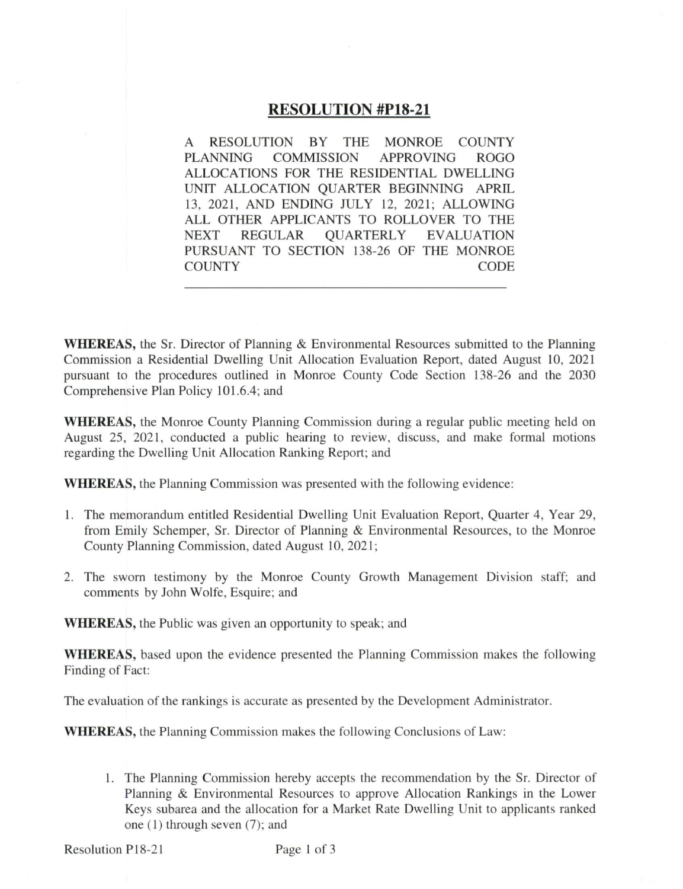### **RESOLUTION #P18-21**

RESOLUTION BY THE MONROE COUNTY A **PLANNING COMMISSION APPROVING ROGO** ALLOCATIONS FOR THE RESIDENTIAL DWELLING UNIT ALLOCATION QUARTER BEGINNING APRIL 13, 2021, AND ENDING JULY 12, 2021; ALLOWING ALL OTHER APPLICANTS TO ROLLOVER TO THE **NEXT REGULAR OUARTERLY EVALUATION** PURSUANT TO SECTION 138-26 OF THE MONROE **COUNTY CODE** 

**WHEREAS**, the Sr. Director of Planning & Environmental Resources submitted to the Planning Commission a Residential Dwelling Unit Allocation Evaluation Report, dated August 10, 2021 pursuant to the procedures outlined in Monroe County Code Section 138-26 and the 2030 Comprehensive Plan Policy 101.6.4; and

**WHEREAS**, the Monroe County Planning Commission during a regular public meeting held on August 25, 2021, conducted a public hearing to review, discuss, and make formal motions regarding the Dwelling Unit Allocation Ranking Report; and

**WHEREAS**, the Planning Commission was presented with the following evidence:

- 1. The memorandum entitled Residential Dwelling Unit Evaluation Report, Quarter 4, Year 29, from Emily Schemper, Sr. Director of Planning & Environmental Resources, to the Monroe County Planning Commission, dated August 10, 2021;
- 2. The sworn testimony by the Monroe County Growth Management Division staff; and comments by John Wolfe, Esquire; and

**WHEREAS**, the Public was given an opportunity to speak; and

**WHEREAS**, based upon the evidence presented the Planning Commission makes the following Finding of Fact:

The evaluation of the rankings is accurate as presented by the Development Administrator.

**WHEREAS**, the Planning Commission makes the following Conclusions of Law:

1. The Planning Commission hereby accepts the recommendation by the Sr. Director of Planning & Environmental Resources to approve Allocation Rankings in the Lower Keys subarea and the allocation for a Market Rate Dwelling Unit to applicants ranked one  $(1)$  through seven  $(7)$ ; and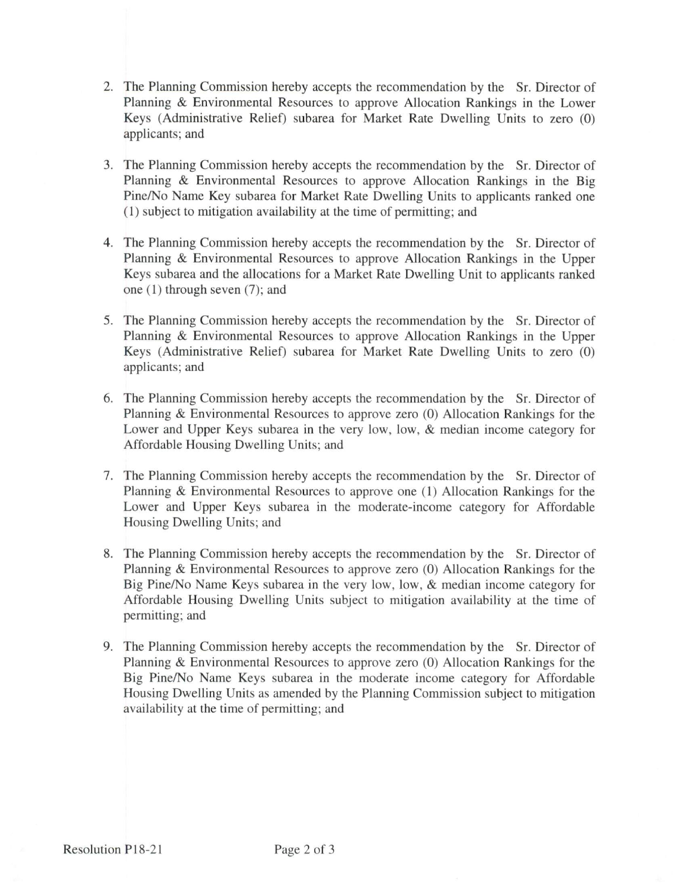- 2. The Planning Commission hereby accepts the recommendation by the Sr. Director of Planning & Environmental Resources to approve Allocation Rankings in the Lower Keys (Administrative Relief) subarea for Market Rate Dwelling Units to zero (0) applicants; and
- 3. The Planning Commission hereby accepts the recommendation by the Sr. Director of Planning & Environmental Resources to approve Allocation Rankings in the Big Pine/No Name Key subarea for Market Rate Dwelling Units to applicants ranked one (1) subject to mitigation availability at the time of permitting; and
- 4. The Planning Commission hereby accepts the recommendation by the Sr. Director of Planning & Environmental Resources to approve Allocation Rankings in the Upper Keys subarea and the allocations for a Market Rate Dwelling Unit to applicants ranked one  $(1)$  through seven  $(7)$ ; and
- 5. The Planning Commission hereby accepts the recommendation by the Sr. Director of Planning & Environmental Resources to approve Allocation Rankings in the Upper Keys (Administrative Relief) subarea for Market Rate Dwelling Units to zero (0) applicants; and
- 6. The Planning Commission hereby accepts the recommendation by the Sr. Director of Planning & Environmental Resources to approve zero (0) Allocation Rankings for the Lower and Upper Keys subarea in the very low, low, & median income category for Affordable Housing Dwelling Units; and
- 7. The Planning Commission hereby accepts the recommendation by the Sr. Director of Planning & Environmental Resources to approve one (1) Allocation Rankings for the Lower and Upper Keys subarea in the moderate-income category for Affordable Housing Dwelling Units; and
- 8. The Planning Commission hereby accepts the recommendation by the Sr. Director of Planning & Environmental Resources to approve zero (0) Allocation Rankings for the Big Pine/No Name Keys subarea in the very low, low, & median income category for Affordable Housing Dwelling Units subject to mitigation availability at the time of permitting; and
- 9. The Planning Commission hereby accepts the recommendation by the Sr. Director of Planning & Environmental Resources to approve zero (0) Allocation Rankings for the Big Pine/No Name Keys subarea in the moderate income category for Affordable Housing Dwelling Units as amended by the Planning Commission subject to mitigation availability at the time of permitting; and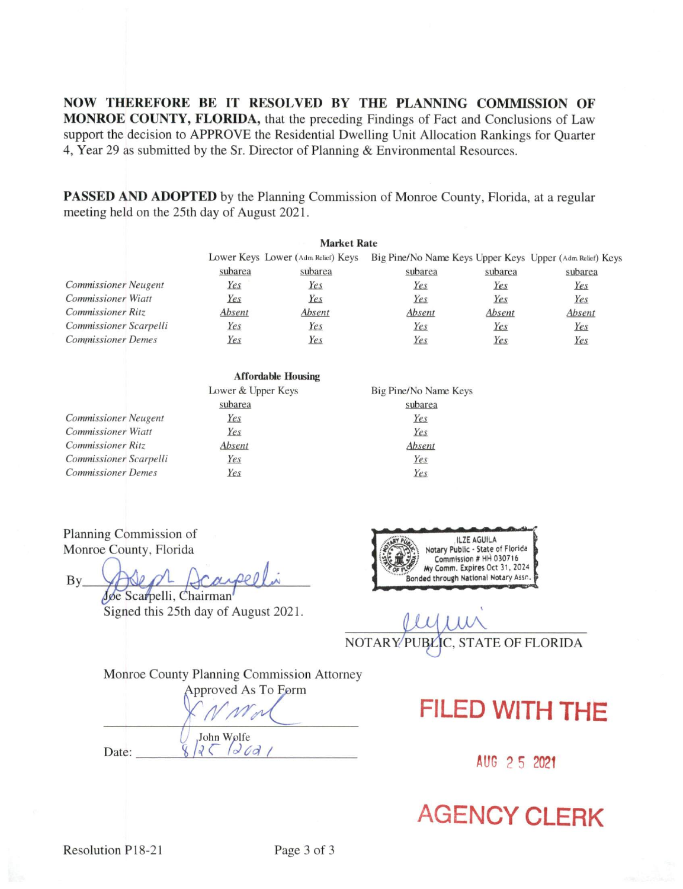NOW THEREFORE BE IT RESOLVED BY THE PLANNING COMMISSION OF MONROE COUNTY, FLORIDA, that the preceding Findings of Fact and Conclusions of Law support the decision to APPROVE the Residential Dwelling Unit Allocation Rankings for Quarter 4, Year 29 as submitted by the Sr. Director of Planning & Environmental Resources.

**PASSED AND ADOPTED** by the Planning Commission of Monroe County, Florida, at a regular meeting held on the 25th day of August 2021.

|                             |         | <b>Market Rate</b>                 |         |         |                                                          |
|-----------------------------|---------|------------------------------------|---------|---------|----------------------------------------------------------|
|                             |         | Lower Keys Lower (Adm Relief) Keys |         |         | Big Pine/No Name Keys Upper Keys Upper (Adm Relief) Keys |
|                             | subarea | subarea                            | subarea | subarea | subarea                                                  |
| <b>Commissioner</b> Neugent | Yes     | Yes                                | Yes     | Yes     | Yes                                                      |
| <b>Commissioner Wiatt</b>   | Yes     | Yes                                | Yes     | Yes     | Yes                                                      |
| <b>Commissioner Ritz</b>    | Absent  | Absent                             | Absent  | Absent  | Absent                                                   |
| Commissioner Scarpelli      | Yes     | Yes                                | Yes     | Yes     | Yes                                                      |
| <b>Commissioner Demes</b>   | Yes     | Yes                                | Yes     | Yes     | Yes                                                      |

|                             | <b>Affordable Housing</b> |                       |
|-----------------------------|---------------------------|-----------------------|
|                             | Lower & Upper Keys        | Big Pine/No Name Keys |
|                             | subarea                   | subarea               |
| <b>Commissioner</b> Neugent | Yes                       | Yes                   |
| Commissioner Wiatt          | Yes                       | Yes                   |
| <b>Commissioner Ritz</b>    | Absent                    | Absent                |
| Commissioner Scarpelli      | Yes                       | Yes                   |
| <b>Commissioner Demes</b>   | Yes                       | Yes                   |

Planning Commission of Monroe County, Florida

By\_ Joe Scarpelli, Chairman

Signed this 25th day of August 2021.

ILZE AGUILA Notary Public - State of Florida Commission # HH 030716 My Comm. Expires Oct 31, 2024 Bonded through National Notary Assn.

NOTARY PUBLIC, STATE OF FLORIDA

Monroe County Planning Commission Attorney

Approved As To Form

John Wolfe  $2512691$ 

Date:

**FILED WITH THE** 

AUG 2 5 2021

# **AGENCY CLERK**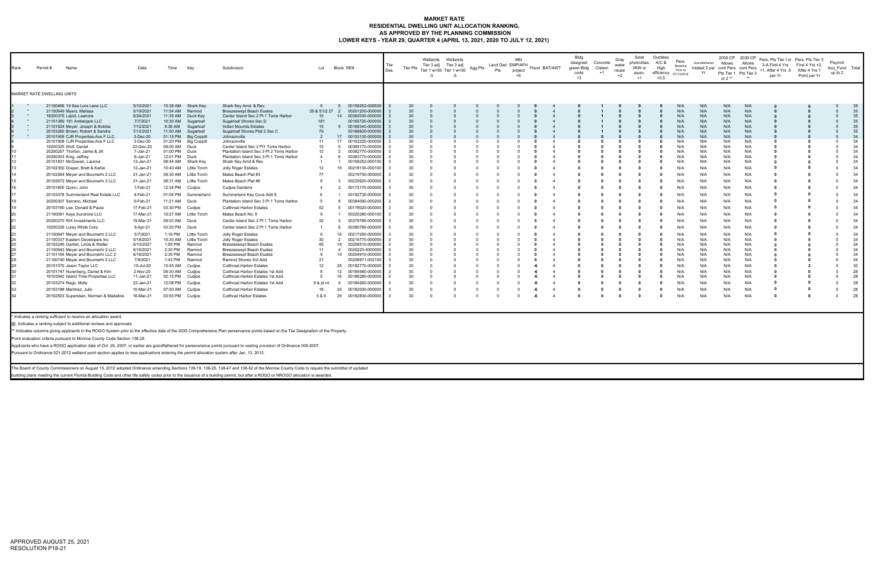## **MARKET RATE RESIDENTIAL DWELLING UNIT ALLOCATION RANKING, AS APPROVED BY THE PLANNING COMMISSION LOWER KEYS - YEAR 29, QUARTER 4 (APRIL 13, 2021, 2020 TO JULY 12, 2021)**

| Rank                                                                                                                                         | Permit # | Name                                                                                                                                                                                                                                                                                                                                                                                                                                                                                                                                                                                                                                                                                                                   |                                                                                                                                                                                                                                                                                                                                                                                                                                                                                                  | Date                                                                                                                                                                                                                                                                                                                                                                                                                                       | Time                                                                                                                                                                                                                                                                                                                                        | Kev                                                                                                                                                                                                                                                                                                                                                                                                                                                                 | Subdivision                                                                                                                                                                                                                                                                                                                                                                                                                                                                                                                                                                                                                                                                                                                                                                                                                                                                                                                                                                                                                                                                              | Lot                                                                                                                                                                                                            | Block RE#                                                                                                                                                                                                                                                                                                                                                                                                                                                                                                                                                                                                                                                                                                                                                                                                                 | <b>Tier Pts</b>                                                                                                 |                                                                                        | Wetlands<br>Wetlands<br>Tier 3 adj Tier 3 adj<br>Tier 1 w>50 Tier 1 w<50<br>$-3$<br>$-5$ | Agg Pts | Pts                                                                                     | Mkt<br>Land Ded EMP/AFH<br>project<br>$+6$ | Flood BAT/AWT                                                               | Bldg<br>designed<br>green Bldg<br>code<br>$+3$ | Concrete<br>Cistern<br>$+1$ | Gray<br>water<br>reuse<br>$+2$ | Solar<br>photvoltaic<br>3KW or<br>equiv.<br>$+1$ | Ductless<br>A/C &<br>High<br>efficiency<br>$+0.5$ | Pers.<br>Baseline<br>Prior to<br>07/13/2016                                                                                                                                                                                                | Grandfathered<br>Yr                                                                                                                                                                                                                        | Allows<br>or $2**$                                                                                                                                                                                                                         | 2030 CP 2030 CP<br>Allows<br>Pts Tier 1 Pts Tier 3                                                                                                                                                                                         | Vested 2 per cont Pers cont Pers +1, After 4 Yrs 5<br>per Yr | Pers. Pts Tier I or Pers. Pts Tier 3<br>3-A First 4 Yrs First 4 Yrs +2,<br>After 4 Yrs 1<br>Point per Yr | Paymnt<br>Acq Fund Total<br>up to 2                                                                                                                                                                                                                      |                                                                                                                                                                                                          |
|----------------------------------------------------------------------------------------------------------------------------------------------|----------|------------------------------------------------------------------------------------------------------------------------------------------------------------------------------------------------------------------------------------------------------------------------------------------------------------------------------------------------------------------------------------------------------------------------------------------------------------------------------------------------------------------------------------------------------------------------------------------------------------------------------------------------------------------------------------------------------------------------|--------------------------------------------------------------------------------------------------------------------------------------------------------------------------------------------------------------------------------------------------------------------------------------------------------------------------------------------------------------------------------------------------------------------------------------------------------------------------------------------------|--------------------------------------------------------------------------------------------------------------------------------------------------------------------------------------------------------------------------------------------------------------------------------------------------------------------------------------------------------------------------------------------------------------------------------------------|---------------------------------------------------------------------------------------------------------------------------------------------------------------------------------------------------------------------------------------------------------------------------------------------------------------------------------------------|---------------------------------------------------------------------------------------------------------------------------------------------------------------------------------------------------------------------------------------------------------------------------------------------------------------------------------------------------------------------------------------------------------------------------------------------------------------------|------------------------------------------------------------------------------------------------------------------------------------------------------------------------------------------------------------------------------------------------------------------------------------------------------------------------------------------------------------------------------------------------------------------------------------------------------------------------------------------------------------------------------------------------------------------------------------------------------------------------------------------------------------------------------------------------------------------------------------------------------------------------------------------------------------------------------------------------------------------------------------------------------------------------------------------------------------------------------------------------------------------------------------------------------------------------------------------|----------------------------------------------------------------------------------------------------------------------------------------------------------------------------------------------------------------|---------------------------------------------------------------------------------------------------------------------------------------------------------------------------------------------------------------------------------------------------------------------------------------------------------------------------------------------------------------------------------------------------------------------------------------------------------------------------------------------------------------------------------------------------------------------------------------------------------------------------------------------------------------------------------------------------------------------------------------------------------------------------------------------------------------------------|-----------------------------------------------------------------------------------------------------------------|----------------------------------------------------------------------------------------|------------------------------------------------------------------------------------------|---------|-----------------------------------------------------------------------------------------|--------------------------------------------|-----------------------------------------------------------------------------|------------------------------------------------|-----------------------------|--------------------------------|--------------------------------------------------|---------------------------------------------------|--------------------------------------------------------------------------------------------------------------------------------------------------------------------------------------------------------------------------------------------|--------------------------------------------------------------------------------------------------------------------------------------------------------------------------------------------------------------------------------------------|--------------------------------------------------------------------------------------------------------------------------------------------------------------------------------------------------------------------------------------------|--------------------------------------------------------------------------------------------------------------------------------------------------------------------------------------------------------------------------------------------|--------------------------------------------------------------|----------------------------------------------------------------------------------------------------------|----------------------------------------------------------------------------------------------------------------------------------------------------------------------------------------------------------------------------------------------------------|----------------------------------------------------------------------------------------------------------------------------------------------------------------------------------------------------------|
| MARKET RATE DWELLING UNITS                                                                                                                   |          |                                                                                                                                                                                                                                                                                                                                                                                                                                                                                                                                                                                                                                                                                                                        |                                                                                                                                                                                                                                                                                                                                                                                                                                                                                                  |                                                                                                                                                                                                                                                                                                                                                                                                                                            |                                                                                                                                                                                                                                                                                                                                             |                                                                                                                                                                                                                                                                                                                                                                                                                                                                     |                                                                                                                                                                                                                                                                                                                                                                                                                                                                                                                                                                                                                                                                                                                                                                                                                                                                                                                                                                                                                                                                                          |                                                                                                                                                                                                                |                                                                                                                                                                                                                                                                                                                                                                                                                                                                                                                                                                                                                                                                                                                                                                                                                           |                                                                                                                 |                                                                                        |                                                                                          |         |                                                                                         |                                            |                                                                             |                                                |                             |                                |                                                  |                                                   |                                                                                                                                                                                                                                            |                                                                                                                                                                                                                                            |                                                                                                                                                                                                                                            |                                                                                                                                                                                                                                            |                                                              |                                                                                                          |                                                                                                                                                                                                                                                          |                                                                                                                                                                                                          |
| 10<br>12<br>13<br>14<br>15<br>16<br>17<br>18<br>19<br>20<br>21<br>22<br>23<br>24<br>25<br>26<br>27<br>28<br>29<br>30<br>31<br>32<br>33<br>34 |          | 21100466 19 Sea Lore Lane LLC<br>21100649 Myers, Melissa<br>18200375 Lapid, Leanora<br>21101389 181 Amberjack LLC<br>21101824 Meyer, Joseph & Bobbie<br>20103260 Brown, Robert & Sandra<br>19200325 Wolf, Daniel<br>20200257 Thorton, Jamie & Jill<br>20200303 King, Jeffrey<br>20101831 McGowan, Launna<br>20102350 Draper, Brett & Karlie<br>20101800 Quinn, John<br>20200307 Serrano, Michael<br>20103190 Lee, Donald & Paula<br>21100091 Keys Sunshine LLC<br>20200270 RIX Investments LLC<br>19200326 Luray White Corp<br>21100337 Eastern Developers Inc<br>20102245 Garber, Linda & Walter<br>20101070 Jason Taylor LLC<br>20101747 Nurenberg, Daniel & Kim<br>20103274 Rego, Molly<br>20103188 Martinez, Julio | 20101906 CJR Properties-Ave F LLC<br>20101908 CJR Properties-Ave F LLC<br>20102264 Meyer and Boumerhi 2 LLC<br>20102672 Meyer and Boumerhi 2 LLC<br>20103378 Summerland Real Estate LLC<br>21100647 Meyer and Boumerhi 2 LLC<br>21100643 Meyer and Boumerhi 2 LLC<br>21101164 Meyer and Boumerhi LLC 2<br>21100740 Meyer and Boumerhi 2 LLC<br>19103942 Island Time Properties LLC<br>20102503 Superstein, Norman & Madeline<br>* Indicates a ranking sufficient to receive an allocation award. | 5/10/2021<br>5/19/2021<br>6/24/2021<br>7/7/2021<br>7/12/2021<br>7/12/2021<br>3-Dec-20<br>3-Dec-20<br>22-Dec-20<br>7-Jan-21<br>8-Jan-21<br>12-Jan-21<br>12-Jan-21<br>21-Jan-21<br>21-Jan-21<br>1-Feb-21<br>4-Feb-21<br>9-Feb-21<br>17-Feb-21<br>17-Mar-21<br>19-Mar-21<br>9-Apr-21<br>5/7/2021<br>5/18/2021<br>6/10/2021<br>6/18/2021<br>6/18/2021<br>7/9/2021<br>10-Jul-20<br>2-Nov-20<br>11-Jan-21<br>22-Jan-21<br>10-Mar-21<br>16-Mar-21 | 10:38 AM<br>11:54 AM<br>11:35 AM<br>10:30 AM<br>8:36 AM<br>11:50 AM<br>01:15 PM<br>01:20 PM<br>09:00 AM<br>01:00 PM<br>12:01 PM<br>08:44 AM<br>10:40 AM<br>08:30 AM<br>11:21 AM<br>10:27 AM<br>09:03 AM Duck<br>03:20 PM<br>1:16 PM<br>10:30 AM<br>1:55 PM<br>2:30 PM<br>2:35 PM<br>1:43 PM<br>10:45 AM<br>08:30 AM<br>02:15 PM<br>07:50 AM | Shark Key<br>Ramrod<br>Duck Key<br>Sugarloaf<br>Sugarloaf<br>Sugarloaf<br><b>Big Coppitt</b><br><b>Big Coppitt</b><br>Duck<br>Duck<br>Duck<br>Shark Key<br>Little Torch<br>Little Torch<br>08:31 AM Little Torch<br>12:34 PM Cudjoe<br>01:04 PM Summerland<br>Duck<br>03:30 PM Cudjoe<br>Little Torch<br>Duck<br>Little Torch<br>Little Torch<br>Ramrod<br>Ramrod<br>Ramrod<br>Ramrod<br>Cudjoe<br>Cudjoe<br>Cudjoe<br>12:08 PM Cudjoe<br>Cudjoe<br>03:55 PM Cudjoe | Shark Key Amd. & Rev.<br><b>Breezeswept Beach Esates</b><br>Center Island Sec 2 Pt 1 Toms Harbor<br>Sugarloaf Shores Sec D<br>Indian Mounds Estates<br>Sugarloaf Shores Plat 2 Sec C<br>Johnsonville<br>Johnsonville<br>Center Island Sec 2 Pt1 Toms Harbor<br>Plantation Island Sec 3 Pt 2 Toms Harbor<br>Plantation Island Sec 3 Pt 1 Toms Harbor<br>Shark Key Amd & Rev<br>Jolly Roger Estates<br>Mates Beach Plat #3<br>Mates Beach Plat #6<br>Cudjoe Gardens<br>Summerland Key Cove Add 6<br>Plantation Island Sec 3 Pt 1 Toms Harbor<br><b>Cutthroat Harbor Estates</b><br>Mates Beach No. 6<br>Center Island Sec 2 Pt 1 Toms Harbor<br>Center Island Sec 2 Pt 1 Toms Harbor<br>Jolly Roger Estates<br>Jolly Roger Estates<br><b>Breezeswept Beach Esates</b><br><b>Breezeswept Beach Esates</b><br><b>Breezeswept Beach Esates</b><br>Ramrod Shores 3rd Add.<br><b>Cutthroat Harbor Estates</b><br>Cutthroat Harbor Estates 1st Add<br>Cutthroat Harbor Estates 1st Add<br>Cutthroat Harbor Estates 1st Add.<br><b>Cutthroat Harbor Estates</b><br><b>Cutthoat Harbor Estates</b> | 28 & S1/2 27<br>15<br>181<br>15<br>79<br>11<br>15<br>12<br>$\overline{4}$<br>$\mathbf{1}$<br>12<br>77<br>52<br>$\mathbf{Q}$<br>32<br>6<br>30<br>65<br>11<br>9<br>21<br>12<br>-8<br>5<br>9 & pt rd<br>18<br>5&6 | 00159252-006500<br>$\overline{2}$<br>00201200-00000<br>14<br>00382030-00000<br>00165720-00000<br>00169340-00000<br>- 5<br>00166600-00000<br>00153130-00000<br>17 <sup>2</sup><br>17<br>00153220-00000<br>00380170-00000<br>- 5<br>$\overline{2}$<br>00382770-00000<br>00383770-00000<br>00159252-000100<br>19<br>00218130-00010<br>00219750-00000<br>00220620-00000<br>00172170-00000<br>00192730-00000<br>00384090-00020<br>00178020-00000<br>00220380-000100<br>00379780-00000<br>$\mathbf{B}$<br>00380780-00000<br>16<br>00217250-00000<br>00215770-00000<br>$\overline{2}$<br>19<br>00206510-00000<br>0020220-000000<br>$\overline{4}$<br>14 00204910-00000<br>00209971-002100<br>28 00182770-00000<br>00185580-00000<br>12<br>16<br>00186280-00000<br>4 00184260-00000<br>00182030-00000<br>24<br>29 00182830-000000 | -30<br>30<br>30<br>30<br>30<br>30<br>30<br>30<br>30<br>30<br>30<br>30<br>30<br>30<br>30<br>30<br>30<br>30<br>30 | 30<br>30<br>30<br>30<br>30<br>30<br>30<br>30<br>30<br>30<br>30<br>30<br>30<br>30<br>30 |                                                                                          |         | $\Omega$<br>$\Omega$<br>$\Omega$<br>$\Omega$<br>- 0<br>$\Omega$<br>$\Omega$<br>$\Omega$ |                                            | - 0<br>- 0<br>- 0<br>-0<br>- 0<br>- 0<br>- 0<br>- 0<br>-6<br>-6<br>-6<br>-6 |                                                |                             |                                | - 0<br>- 0                                       | - 0<br>0<br>- 0                                   | N/A<br>N/A<br>N/A<br>N/A<br>N/A<br>N/A<br>N/A<br>N/A<br>N/A<br>N/A<br>N/A<br>N/A<br>N/A<br>N/A<br>N/A<br>N/A<br>N/A<br>N/A<br>N/A<br>N/A<br>N/A<br>N/A<br>N/A<br>N/A<br>N/A<br>N/A<br>N/A<br>N/A<br>N/A<br>N/A<br>N/A<br>N/A<br>N/A<br>N/A | N/A<br>N/A<br>N/A<br>N/A<br>N/A<br>N/A<br>N/A<br>N/A<br>N/A<br>N/A<br>N/A<br>N/A<br>N/A<br>N/A<br>N/A<br>N/A<br>N/A<br>N/A<br>N/A<br>N/A<br>N/A<br>N/A<br>N/A<br>N/A<br>N/A<br>N/A<br>N/A<br>N/A<br>N/A<br>N/A<br>N/A<br>N/A<br>N/A<br>N/A | N/A<br>N/A<br>N/A<br>N/A<br>N/A<br>N/A<br>N/A<br>N/A<br>N/A<br>N/A<br>N/A<br>N/A<br>N/A<br>N/A<br>N/A<br>N/A<br>N/A<br>N/A<br>N/A<br>N/A<br>N/A<br>N/A<br>N/A<br>N/A<br>N/A<br>N/A<br>N/A<br>N/A<br>N/A<br>N/A<br>N/A<br>N/A<br>N/A<br>N/A | N/A<br>N/A<br>N/A<br>N/A<br>N/A<br>N/A<br>N/A<br>N/A<br>N/A<br>N/A<br>N/A<br>N/A<br>N/A<br>N/A<br>N/A<br>N/A<br>N/A<br>N/A<br>N/A<br>N/A<br>N/A<br>N/A<br>N/A<br>N/A<br>N/A<br>N/A<br>N/A<br>N/A<br>N/A<br>N/A<br>N/A<br>N/A<br>N/A<br>N/A |                                                              | - 0<br>- 0<br>- 0<br>- 0<br>$\mathbf{0}$<br>- 0<br>- 0<br>- 0<br>$\mathbf{0}$                            | $\Omega$<br>$\Omega$<br>$\Omega$<br>$\Omega$<br>$\Omega$<br>$\Omega$<br>$\Omega$<br>$\Omega$<br>$\Omega$<br>$\Omega$<br>$\Omega$<br>$\Omega$<br>$\Omega$<br>$\Omega$<br>$\Omega$<br>$\Omega$<br>$\Omega$<br>$\Omega$<br>$\Omega$<br>$\Omega$<br>$\Omega$ | 35<br>35<br>35<br>35<br>35<br>35<br>34<br>34<br>34<br>34<br>34<br>34<br>34<br>34<br>34<br>34<br>34<br>34<br>34<br>34<br>34<br>34<br>34<br>34<br>34<br>34<br>34<br>34<br>30<br>28<br>28<br>28<br>28<br>28 |
|                                                                                                                                              |          |                                                                                                                                                                                                                                                                                                                                                                                                                                                                                                                                                                                                                                                                                                                        | @ Indicates a ranking subject to additional reviews and approvals<br>Point evaluation criteria pursuant to Monroe County Code Section 138.28.                                                                                                                                                                                                                                                                                                                                                    |                                                                                                                                                                                                                                                                                                                                                                                                                                            |                                                                                                                                                                                                                                                                                                                                             |                                                                                                                                                                                                                                                                                                                                                                                                                                                                     | ** Indicates columns giving applicants in the ROGO System prior to the effective date of the 2030 Comprehensive Plan perservance points based on the Tier Designation of the Property.<br>Applicants who have a ROGO application date of Oct. 29, 2007, or earlier are grandfathered for perseverance points pursuant to vesting provision of Ordinance 009-2007.                                                                                                                                                                                                                                                                                                                                                                                                                                                                                                                                                                                                                                                                                                                        |                                                                                                                                                                                                                |                                                                                                                                                                                                                                                                                                                                                                                                                                                                                                                                                                                                                                                                                                                                                                                                                           |                                                                                                                 |                                                                                        |                                                                                          |         |                                                                                         |                                            |                                                                             |                                                |                             |                                |                                                  |                                                   |                                                                                                                                                                                                                                            |                                                                                                                                                                                                                                            |                                                                                                                                                                                                                                            |                                                                                                                                                                                                                                            |                                                              |                                                                                                          |                                                                                                                                                                                                                                                          |                                                                                                                                                                                                          |
|                                                                                                                                              |          |                                                                                                                                                                                                                                                                                                                                                                                                                                                                                                                                                                                                                                                                                                                        |                                                                                                                                                                                                                                                                                                                                                                                                                                                                                                  |                                                                                                                                                                                                                                                                                                                                                                                                                                            |                                                                                                                                                                                                                                                                                                                                             |                                                                                                                                                                                                                                                                                                                                                                                                                                                                     | Pursuant to Ordinance 021-2012 wetland point section applies to new applications entering the permit allocation system after Jan. 13, 2013.<br>The Board of County Commissioners on August 15, 2012 adopted Ordinance amending Sections 139-19, 138-25, 138-47 and 138-52 of the Monroe County Code to require the submittal of updated<br>building plans meeting the current Florida Buidling Code and other life safety codes prior to the issuance of a building permit, but after a ROGO or NROGO allocation is awarded                                                                                                                                                                                                                                                                                                                                                                                                                                                                                                                                                              |                                                                                                                                                                                                                |                                                                                                                                                                                                                                                                                                                                                                                                                                                                                                                                                                                                                                                                                                                                                                                                                           |                                                                                                                 |                                                                                        |                                                                                          |         |                                                                                         |                                            |                                                                             |                                                |                             |                                |                                                  |                                                   |                                                                                                                                                                                                                                            |                                                                                                                                                                                                                                            |                                                                                                                                                                                                                                            |                                                                                                                                                                                                                                            |                                                              |                                                                                                          |                                                                                                                                                                                                                                                          |                                                                                                                                                                                                          |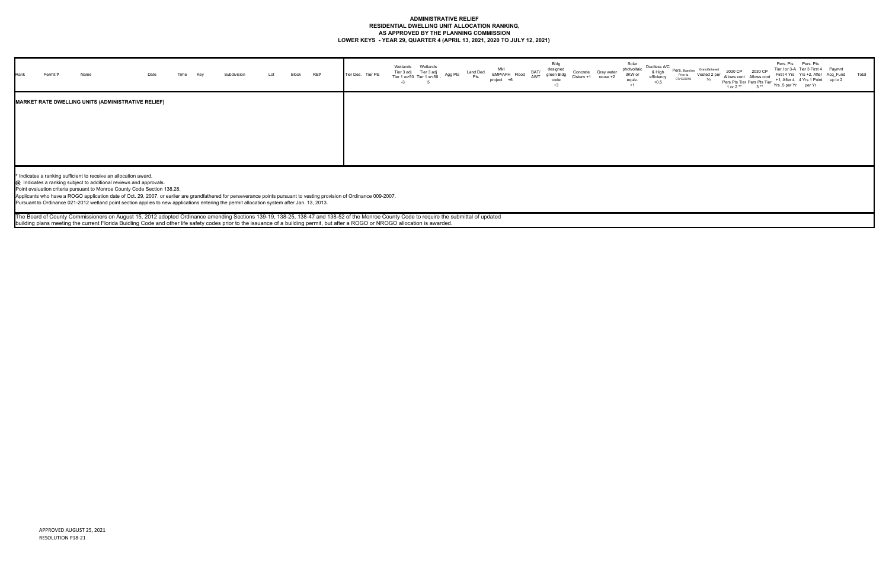### **ADMINISTRATIVE RELIEF RESIDENTIAL DWELLING UNIT ALLOCATION RANKING, AS APPROVED BY THE PLANNING COMMISSION LOWER KEYS - YEAR 29, QUARTER 4 (APRIL 13, 2021, 2020 TO JULY 12, 2021)**

| <b>I</b> Rank | Name                                                             |                                                                                                                                                                                                                                                                                                                                                                                                                                                                          |  |  | Block | RE# | Tier Des. Tier Pts | Tier 3 adi<br>Tier 1 w>50 | Tier 3 adj<br>w<50 |  | EMP/AFH Flood | BAT/<br>AWT | Bldg<br>designe<br>green Bldc<br>code<br>$+3$ | Solar<br>Gray wate<br>equiv | Ductless A/C<br>photvoltaic<br>& High<br>3KW or<br>efficiency<br>$+0.5$<br>$+1$ | Pers. Baseline<br>Prior to<br>07/13/2016 | Grandfathered | 2030 CP<br>1 or 2 ** | 2030 C <sup>r</sup><br>Allows cont Allows cont<br>Pers Pts Tier Pers Pts Tier<br>$3**$ | Pers. Pts Pers. Pts<br>Tier I or 3-A Tier 3 First 4 Paymnt<br>First 4 Yrs Yrs +2, After Acq_Fund<br>+1, After 4 4 Yrs 1 Point up to 2<br>Yrs .5 per Yr per Yr |  | Total |
|---------------|------------------------------------------------------------------|--------------------------------------------------------------------------------------------------------------------------------------------------------------------------------------------------------------------------------------------------------------------------------------------------------------------------------------------------------------------------------------------------------------------------------------------------------------------------|--|--|-------|-----|--------------------|---------------------------|--------------------|--|---------------|-------------|-----------------------------------------------|-----------------------------|---------------------------------------------------------------------------------|------------------------------------------|---------------|----------------------|----------------------------------------------------------------------------------------|---------------------------------------------------------------------------------------------------------------------------------------------------------------|--|-------|
|               |                                                                  | <b>MARKET RATE DWELLING UNITS (ADMINISTRATIVE RELIEF)</b>                                                                                                                                                                                                                                                                                                                                                                                                                |  |  |       |     |                    |                           |                    |  |               |             |                                               |                             |                                                                                 |                                          |               |                      |                                                                                        |                                                                                                                                                               |  |       |
|               | * Indicates a ranking sufficient to receive an allocation award. | @ Indicates a ranking subject to additional reviews and approvals.<br>Point evaluation criteria pursuant to Monroe County Code Section 138.28.<br>Applicants who have a ROGO application date of Oct. 29, 2007, or earlier are grandfathered for perseverance points pursuant to vesting provision of Ordinance 009-2007.<br>Pursuant to Ordinance 021-2012 wetland point section applies to new applications entering the permit allocation system after Jan. 13, 2013. |  |  |       |     |                    |                           |                    |  |               |             |                                               |                             |                                                                                 |                                          |               |                      |                                                                                        |                                                                                                                                                               |  |       |
|               |                                                                  | The Board of County Commissioners on August 15, 2012 adopted Ordinance amending Sections 139-19, 138-25, 138-47 and 138-52 of the Monroe County Code to require the submittal of updated<br>building plans meeting the current Florida Buidling Code and other life safety codes prior to the issuance of a building permit, but after a ROGO or NROGO allocation is awarded.                                                                                            |  |  |       |     |                    |                           |                    |  |               |             |                                               |                             |                                                                                 |                                          |               |                      |                                                                                        |                                                                                                                                                               |  |       |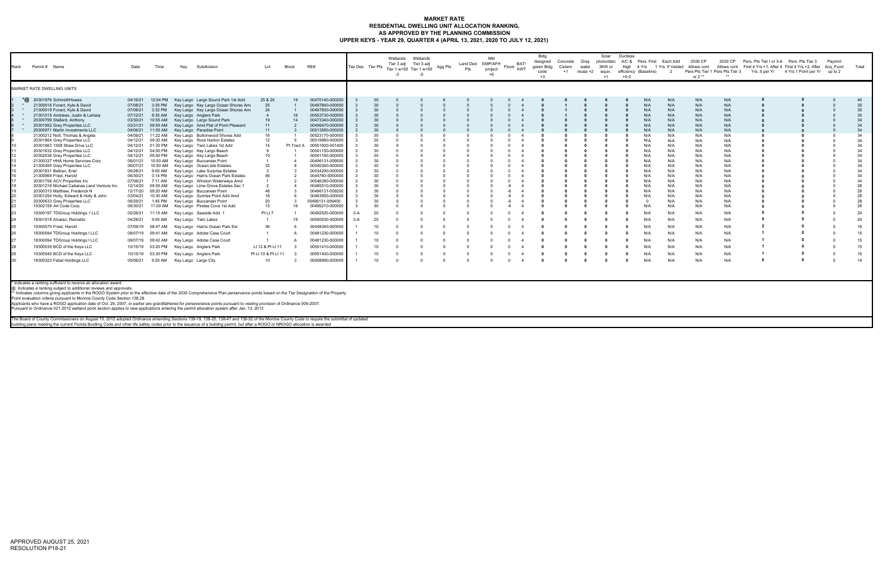## **MARKET RATE RESIDENTIAL DWELLING UNIT ALLOCATION RANKING, AS APPROVED BY THE PLANNING COMMISSION UPPER KEYS - YEAR 29, QUARTER 4 (APRIL 13, 2021, 2020 TO JULY 12, 2021)**

| Rank | Permit # Name                                                                                                                                                                                                                                                                                                                                                                                                                                                                                                                                                                                                                                                                                                                                                                                                                                                                                                                                                                                                                                                                                                                                                                                                                                                                                                                                            | Date                                                                                                                                                                                                                                                                                                                 | Time                                                                                                                                                                                                                                                                                                             | Key | Subdivision                                                                                                                                                                                                                                                                                                                                                                                                                                                                                                                                                                                                                                                                                                                                                                                                                                                                                                                                                                                                                                              | Lot                                                                                                                                                                                                    | Block                                    | RE#                                                                                                                                                                                                                                                                                                                                                                                                                                                                                                                                                                                    | Tier Des. Tier Pts |                                                                                                                                                                                         | Wetlands<br>Tier 3 adj<br>$-3$ | Wetlands<br>Tier 3 adj<br>Tier 1 w>50 Tier 1 w<50<br>$-5$ | Agg Pts | Land Ded EMP/AFH<br>Pts | Mkt<br>project<br>$+6$ | BAT/<br>Flood<br>AWT | Bldg<br>designed<br>green Bldg<br>code<br>$+3$ | Concrete<br>Cistern<br>$+1$ | Gray<br>water<br>reuse +2 | photvoltaic<br>3KW or<br>equiv.<br>$+1$ | Solar Ductless<br>A/C &<br>High<br>$+0.5$ | Pers. First Each Add<br>4 Yrs 1 Yrs If Vested<br>efficiency (Baseline)                                                                                                                                          | -2                                                                                                                                                                                                             | 2030 CP<br>Allows cont<br>or $2**$                                                                                                                                                                             | 2030 CP<br>Pers Pts Tier 1 Pers Pts Tier 3                                                                                                                                                                     | Pers. Pts Tier I or 3-A Pers. Pts Tier 3 | Allows cont First 4 Yrs +1, After 4 First 4 Yrs +2, After Acq Fund<br>Yrs .5 per Yr 4 Yrs 1 Point per Yr up to 2 | Pavmnt | Total                                                                                                                                                                            |
|------|----------------------------------------------------------------------------------------------------------------------------------------------------------------------------------------------------------------------------------------------------------------------------------------------------------------------------------------------------------------------------------------------------------------------------------------------------------------------------------------------------------------------------------------------------------------------------------------------------------------------------------------------------------------------------------------------------------------------------------------------------------------------------------------------------------------------------------------------------------------------------------------------------------------------------------------------------------------------------------------------------------------------------------------------------------------------------------------------------------------------------------------------------------------------------------------------------------------------------------------------------------------------------------------------------------------------------------------------------------|----------------------------------------------------------------------------------------------------------------------------------------------------------------------------------------------------------------------------------------------------------------------------------------------------------------------|------------------------------------------------------------------------------------------------------------------------------------------------------------------------------------------------------------------------------------------------------------------------------------------------------------------|-----|----------------------------------------------------------------------------------------------------------------------------------------------------------------------------------------------------------------------------------------------------------------------------------------------------------------------------------------------------------------------------------------------------------------------------------------------------------------------------------------------------------------------------------------------------------------------------------------------------------------------------------------------------------------------------------------------------------------------------------------------------------------------------------------------------------------------------------------------------------------------------------------------------------------------------------------------------------------------------------------------------------------------------------------------------------|--------------------------------------------------------------------------------------------------------------------------------------------------------------------------------------------------------|------------------------------------------|----------------------------------------------------------------------------------------------------------------------------------------------------------------------------------------------------------------------------------------------------------------------------------------------------------------------------------------------------------------------------------------------------------------------------------------------------------------------------------------------------------------------------------------------------------------------------------------|--------------------|-----------------------------------------------------------------------------------------------------------------------------------------------------------------------------------------|--------------------------------|-----------------------------------------------------------|---------|-------------------------|------------------------|----------------------|------------------------------------------------|-----------------------------|---------------------------|-----------------------------------------|-------------------------------------------|-----------------------------------------------------------------------------------------------------------------------------------------------------------------------------------------------------------------|----------------------------------------------------------------------------------------------------------------------------------------------------------------------------------------------------------------|----------------------------------------------------------------------------------------------------------------------------------------------------------------------------------------------------------------|----------------------------------------------------------------------------------------------------------------------------------------------------------------------------------------------------------------|------------------------------------------|------------------------------------------------------------------------------------------------------------------|--------|----------------------------------------------------------------------------------------------------------------------------------------------------------------------------------|
|      | MARKET RATE DWELLING UNITS                                                                                                                                                                                                                                                                                                                                                                                                                                                                                                                                                                                                                                                                                                                                                                                                                                                                                                                                                                                                                                                                                                                                                                                                                                                                                                                               |                                                                                                                                                                                                                                                                                                                      |                                                                                                                                                                                                                                                                                                                  |     |                                                                                                                                                                                                                                                                                                                                                                                                                                                                                                                                                                                                                                                                                                                                                                                                                                                                                                                                                                                                                                                          |                                                                                                                                                                                                        |                                          |                                                                                                                                                                                                                                                                                                                                                                                                                                                                                                                                                                                        |                    |                                                                                                                                                                                         |                                |                                                           |         |                         |                        |                      |                                                |                             |                           |                                         |                                           |                                                                                                                                                                                                                 |                                                                                                                                                                                                                |                                                                                                                                                                                                                |                                                                                                                                                                                                                |                                          |                                                                                                                  |        |                                                                                                                                                                                  |
|      | $*$ $\omega$ 20301976 Schmidt/Howes<br>21300018 Forant, Kyle & David<br>21300019 Forant, Kyle & David<br>21301019 Andrews, Justin & Larissa<br>20300799 Stallard, Anthony<br>20301952 Grey Properties LLC<br>20300971 Marlin Investments LLC<br>21300212 Nolt, Thomas & Angela<br>20301864 Grey Properties LLC<br>20301663 1508 Shaw Drive LLC<br>20301632 Grey Properties LLC<br>20302036 Grey Properties LLC<br>21300337 HHA Home Services Corp<br>21300495 Grey Properties LLC<br>20301831 Beltran, Eriel<br>21300969 Fried, Harold<br>20301758 ACV Properties Inc<br>20301216 Michael Cabanas Land Venture Inc<br>20300310 Matthew, Frederick N<br>20301254 Holly, Edward & Holly & John<br>20300633 Grey Properties LLC<br>19302159 Art Code Corp<br>19300197 TDGroup Holdings 1 LLC<br>18301518 Alvarez, Reinaldo<br>19300570 Fried, Harold<br>18300094 TDGroup Holdings I LLC<br>18300094 TDGroup Holdings I LLC<br>19300539 BCD of the Keys LLC<br>19300540 BCD of the Keys LLC<br>18300323 Fabel Holdings LLC<br>* Indicates a ranking sufficient to receive an allocation award.<br>@ Indicates a ranking subject to additional reviews and approvals.<br>* Indicates columns giving applicants in the ROGO System prior to the effective date of the 2030 Comprehensive Plan perservance points based on the Tier Designation of the Property | 04/16/21<br>07/08/21<br>07/08/21<br>07/12/21<br>03/30/21<br>03/31/21<br>04/06/21<br>04/09/21<br>04/12/21<br>04/12/21<br>04/12/21<br>04/12/21<br>06/01/21<br>06/07/21<br>06/28/21<br>06/30/21<br>07/06/21<br>12/14/20<br>03/04/21<br>06/29/21<br>06/30/21<br>02/26/21<br>04/28/21<br>07/09/19<br>08/07/19<br>05/06/21 | 12:04 PM<br>3:30 PM<br>3:32 PM<br>8:35 AM<br>10:55 AM<br>09:55 AM<br>11:05 AM<br>11:22 AM<br>09:30 AM<br>01:30 PM<br>04:50 PM<br>05:00 PM<br>9:00 AM<br>3:14 PM<br>7:11 AM<br>09:55 AM<br>12/17/20 09:20 AM<br>10:30 AM<br>11:15 AM<br>9:00 AM<br>08:47 AM<br>09:41 AM<br>08/07/19 09:42 AM<br>10/15/19 03:20 PM |     | Key Largo Largo Sound Park 1st Add.<br>Key Largo Key Largo Ocean Shores Ame<br>Key Largo Key Largo Ocean Shores Am<br>Key Largo Anglers Park<br>Key Largo Largo Sound Park<br>Key Largo Amd Plat of Point Pleasant<br>Key Largo Paradise Point<br>Key Largo Buttonwood Shores Add<br>Key Largo Rock Harbor Estates<br>Key Largo Twin Lakes 1st Add<br>Key Largo Key Largo Beach<br>Key Largo Key Largo Beach<br>10:50 AM Key Largo Buccaneer Point<br>10:50 AM Key Largo Ocean Isle Estates<br>Key Largo Lake Surprise Estates<br>Key Largo Harris Ocean Park Estates<br>Key Largo Winston Waterways Amd<br>Key Largo Lime Grove Estates Sec 1<br>Key Largo Buccaneer Point<br>Key Largo Sunrise Point Add Amd<br>1:45 PM Key Largo Buccaneer Point<br>11:00 AM Key Largo Pirates Cove 1st Add.<br>Key Largo Seaside Add. 1<br>Key Largo Twin Lakes<br>Key Largo Harris Ocean Park Est<br>Key Largo Adobe Casa Court<br>Key Largo Adobe Casa Court<br>Key Largo Anglers Park<br>10/15/19 03:30 PM Key Largo Anglers Park<br>9:20 AM Key Largo Largo City | 25 & 26<br>25<br>24<br>$\overline{4}$<br>19<br>11<br>11<br>16<br>12<br>14<br>10<br>32<br>$\mathcal{R}$<br>46<br>48<br>18<br>20<br>15<br>Pt Lt 7<br>36<br>Lt 12 & Pt Lt 11<br>Pt Lt 10 & Pt Lt 11<br>10 | 19<br>16<br>14<br>Pt Tract A<br>16<br>19 | 00470140-000200<br>00497840-000000<br>00497830-000000<br>00553730-000000<br>00473340-000200<br>00496470-000000<br>00513580-000200<br>00523170-000000<br>00519980-000000<br>00551000-001400<br>00501150-000000<br>00501160-000000<br>00496131-009500<br>00540360-000000<br>00534290-000000<br>0044760-0000000<br>00546380-000000<br>00485510-000000<br>00496131-009200<br>00483950-000000<br>00496131-006400<br>00495210-000000<br>00492520-000000<br>00550530-000000<br>00449340-000000<br>00481230-000000<br>00481230-000000<br>00551410-000000<br>00551400-000000<br>00508990-000000 | $3-A$<br>$3-A$     | -30<br>30<br>30<br>30<br>30<br>30<br>30<br>30<br>-30<br>30<br>-30<br>30<br>-30<br>30<br>30<br>30<br>-30<br>30<br>30<br>30<br>-30<br>30<br>-20<br>20<br>10<br>10<br>10<br>10<br>10<br>10 |                                |                                                           |         |                         |                        |                      |                                                |                             |                           |                                         |                                           | N/A<br>N/A<br>N/A<br>N/A<br>N/A<br>N/A<br>N/A<br>N/A<br>N/A<br>N/A<br>N/f<br>N/A<br>N/A<br>N/A<br>N/A<br>N/A<br>N/A<br>N/A<br>N/f<br>$\Omega$<br>N/A<br>N/A<br>N/A<br>N/A<br>N/A<br>N/A<br>N/A<br>N/A<br>$N$ // | N/A<br>N/A<br>N/A<br>N/A<br>N/A<br>N/A<br>N/A<br>N/A<br>N/A<br>N/A<br>N/A<br>N/A<br>N/A<br>N/A<br>N/A<br>N/A<br>N/A<br>N/A<br>N/A<br>N/A<br>N/A<br>N/A<br>N/A<br>N/A<br>N/A<br>N/A<br>N/A<br>N/A<br>N/A<br>N/A | N/A<br>N/A<br>N/A<br>N/A<br>N/A<br>N/A<br>N/A<br>N/A<br>N/A<br>N/A<br>N/A<br>N/A<br>N/A<br>N/A<br>N/A<br>N/A<br>N/A<br>N/A<br>N/A<br>N/A<br>N/A<br>N/A<br>N/A<br>N/A<br>N/A<br>N/A<br>N/A<br>N/A<br>N/A<br>N/A | N/A<br>N/A<br>N/A<br>N/A<br>N/A<br>N/A<br>N/A<br>N/A<br>N/A<br>N/A<br>N/A<br>N/A<br>N/A<br>N/A<br>N/A<br>N/A<br>N/A<br>N/A<br>N/A<br>N/A<br>N/A<br>N/A<br>N/A<br>N/A<br>N/A<br>N/A<br>N/A<br>N/A<br>N/A<br>N/A |                                          |                                                                                                                  |        | 40<br>35<br>35<br>35<br>34<br>34<br>34<br>34<br>34<br>34<br>34<br>34<br>34<br>34<br>34<br>34<br>34<br>28<br>28<br>28<br>28<br>28<br>24<br>24<br>16<br>15<br>15<br>15<br>15<br>14 |
|      | Point evaluation criteria pursuant to Monroe County Code Section 138.28.<br>Applicants who have a ROGO application date of Oct. 29, 2007, or earlier are grandfathered for perseverance points pursuant to vesting provision of Ordinance 009-2007.<br>Pursuant to Ordinance 021-2012 wetland point section applies to new applications entering the permit allocation system after Jan. 13, 2013                                                                                                                                                                                                                                                                                                                                                                                                                                                                                                                                                                                                                                                                                                                                                                                                                                                                                                                                                        |                                                                                                                                                                                                                                                                                                                      |                                                                                                                                                                                                                                                                                                                  |     |                                                                                                                                                                                                                                                                                                                                                                                                                                                                                                                                                                                                                                                                                                                                                                                                                                                                                                                                                                                                                                                          |                                                                                                                                                                                                        |                                          |                                                                                                                                                                                                                                                                                                                                                                                                                                                                                                                                                                                        |                    |                                                                                                                                                                                         |                                |                                                           |         |                         |                        |                      |                                                |                             |                           |                                         |                                           |                                                                                                                                                                                                                 |                                                                                                                                                                                                                |                                                                                                                                                                                                                |                                                                                                                                                                                                                |                                          |                                                                                                                  |        |                                                                                                                                                                                  |
|      | The Board of County Commissioners on August 15, 2012 adopted Ordinance amending Sections 139-19, 138-25, 138-47 and 138-52 of the Monroe County Code to require the submittal of updated<br>building plans meeting the current Florida Buidling Code and other life safety codes prior to the issuance of a building permit, but after a ROGO or NROGO allocation is awarded                                                                                                                                                                                                                                                                                                                                                                                                                                                                                                                                                                                                                                                                                                                                                                                                                                                                                                                                                                             |                                                                                                                                                                                                                                                                                                                      |                                                                                                                                                                                                                                                                                                                  |     |                                                                                                                                                                                                                                                                                                                                                                                                                                                                                                                                                                                                                                                                                                                                                                                                                                                                                                                                                                                                                                                          |                                                                                                                                                                                                        |                                          |                                                                                                                                                                                                                                                                                                                                                                                                                                                                                                                                                                                        |                    |                                                                                                                                                                                         |                                |                                                           |         |                         |                        |                      |                                                |                             |                           |                                         |                                           |                                                                                                                                                                                                                 |                                                                                                                                                                                                                |                                                                                                                                                                                                                |                                                                                                                                                                                                                |                                          |                                                                                                                  |        |                                                                                                                                                                                  |

building plans meeting the current Florida Buidling Code and other life safety codes prior to the issuance of a building permit, but after a ROGO or NROGO allocation is awarded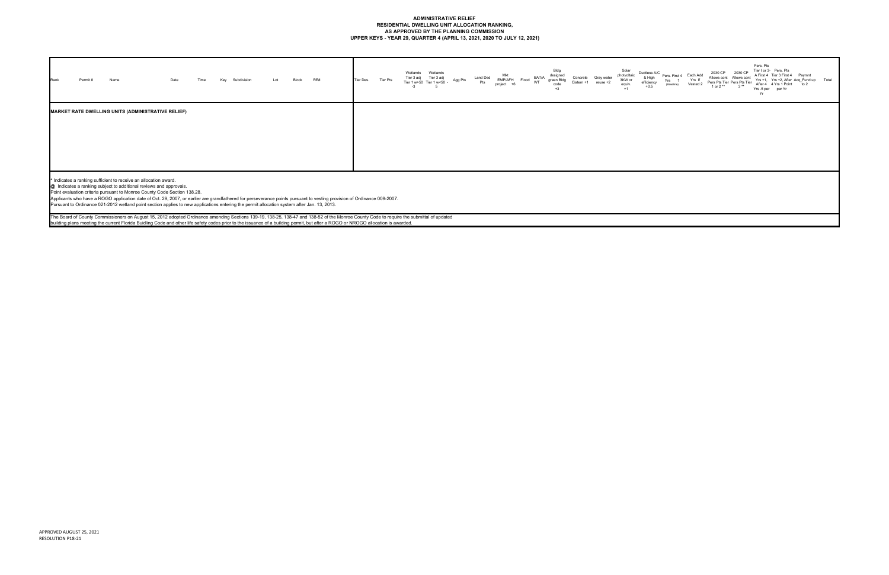### **ADMINISTRATIVE RELIEF RESIDENTIAL DWELLING UNIT ALLOCATION RANKING, AS APPROVED BY THE PLANNING COMMISSION UPPER KEYS - YEAR 29, QUARTER 4 (APRIL 13, 2021, 2020 TO JULY 12, 2021)**

| RE#<br>Date<br>Permit #<br>Name<br>Lot<br>Rank<br>Subdivision<br>Key<br>Block                                                                                                                                                                                                                                                                                                                                                                                                                                                                                                                                                                                                                                                                                                                                                                                                                                                 | Wetlands<br>Wetlands<br>Tier 3 adj<br>Tier 3 adj<br>Tier Pts<br>Tier Des.<br>Tier 1 w>50 Tier 1 w<50<br>$-3$ | Bldg<br>designed<br>BAT/A<br>Land Ded<br>Concrete<br>Gray water<br>EMP/AFH<br>green Bldg<br>Agg Pts<br>Flood<br>Pts<br>WT<br>$Cistern + 1$<br>$reuse + 2$<br>code<br>project<br>$+3$ | Pers, Pts<br>Tier I or 3- Pers. Pts<br>Solar<br>2030 CP<br>Ductless A/C<br>2030 CP<br>photvoltaic<br>A First 4 Tier 3 First 4 Paymnt<br>Pers. First 4 Each Add<br>& High<br>Allows cont Allows cont<br>Yrs +1, Yrs +2, After Acq_Fund up Total<br>3KW or<br>Yrs If<br>Yrs<br>Pers Pts Tier Pers Pts Tier<br>efficiency<br>Vested 2<br>After 4 4 Yrs 1 Point to 2<br>(Baseline)<br>equiv.<br>$+0.5$<br>1 or 2 **<br>$3**$<br>Yrs.5 per per Yr<br>$+1$<br>Yr |
|-------------------------------------------------------------------------------------------------------------------------------------------------------------------------------------------------------------------------------------------------------------------------------------------------------------------------------------------------------------------------------------------------------------------------------------------------------------------------------------------------------------------------------------------------------------------------------------------------------------------------------------------------------------------------------------------------------------------------------------------------------------------------------------------------------------------------------------------------------------------------------------------------------------------------------|--------------------------------------------------------------------------------------------------------------|--------------------------------------------------------------------------------------------------------------------------------------------------------------------------------------|------------------------------------------------------------------------------------------------------------------------------------------------------------------------------------------------------------------------------------------------------------------------------------------------------------------------------------------------------------------------------------------------------------------------------------------------------------|
| <b>MARKET RATE DWELLING UNITS (ADMINISTRATIVE RELIEF)</b>                                                                                                                                                                                                                                                                                                                                                                                                                                                                                                                                                                                                                                                                                                                                                                                                                                                                     |                                                                                                              |                                                                                                                                                                                      |                                                                                                                                                                                                                                                                                                                                                                                                                                                            |
| * Indicates a ranking sufficient to receive an allocation award.<br>@ Indicates a ranking subject to additional reviews and approvals.<br>Point evaluation criteria pursuant to Monroe County Code Section 138.28.<br>Applicants who have a ROGO application date of Oct. 29, 2007, or earlier are grandfathered for perseverance points pursuant to vesting provision of Ordinance 009-2007.<br>Pursuant to Ordinance 021-2012 wetland point section applies to new applications entering the permit allocation system after Jan. 13, 2013.<br>The Board of County Commissioners on August 15, 2012 adopted Ordinance amending Sections 139-19, 138-25, 138-47 and 138-52 of the Monroe County Code to require the submittal of updated<br>building plans meeting the current Florida Buidling Code and other life safety codes prior to the issuance of a building permit, but after a ROGO or NROGO allocation is awarded. |                                                                                                              |                                                                                                                                                                                      |                                                                                                                                                                                                                                                                                                                                                                                                                                                            |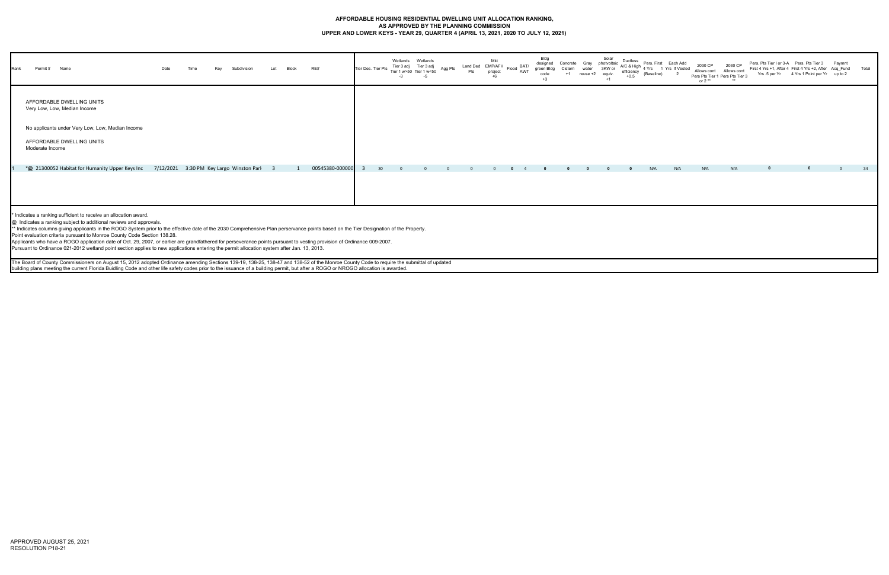### **AFFORDABLE HOUSING RESIDENTIAL DWELLING UNIT ALLOCATION RANKING, AS APPROVED BY THE PLANNING COMMISSION UPPER AND LOWER KEYS - YEAR 29, QUARTER 4 (APRIL 13, 2021, 2020 TO JULY 12, 2021)**

| Rank | Permit# Name                                                                                                                                                                                                                                                                                                                                                                                                                                                                                                                                                                                                                                                                                                                           |                                          |  | Subdivision | Block | RE# |                 | Tier Des. Tier Pts | Wetlands<br>Tier 3 adj | Wetlands<br>Tier 3 adj<br>Tier 1 w>50 Tier 1 w<50 | Agg Pts | Mkt<br>project | Land Ded EMP/AFH Flood BAT/<br>Pts project Flood AWT | Bldg<br>designed<br>green Bldg<br>code<br>$+3$ | Concrete Gray<br>Cistern | Solar<br>photvoltaic<br>3KW or<br>eauiv<br>$+1$ | Ductless<br>$+0.5$ | efficiency (Baseline) | Pers. First Each Add<br>$AC$ & High $\frac{1}{4}$ Yrs 1 Yrs If Vested | 2030 CP<br>or $2**$ | 2030 CP<br>Allows cont Allows cont<br>Pers Pts Tier 1 Pers Pts Tier 3 | Pers. Pts Tier I or 3-A Pers. Pts Tier 3 | First 4 Yrs +1, After 4 First 4 Yrs +2, After Acq Fund Total<br>Yrs .5 per Yr 4 Yrs 1 Point per Yr up to 2 | Paymnt |    |
|------|----------------------------------------------------------------------------------------------------------------------------------------------------------------------------------------------------------------------------------------------------------------------------------------------------------------------------------------------------------------------------------------------------------------------------------------------------------------------------------------------------------------------------------------------------------------------------------------------------------------------------------------------------------------------------------------------------------------------------------------|------------------------------------------|--|-------------|-------|-----|-----------------|--------------------|------------------------|---------------------------------------------------|---------|----------------|------------------------------------------------------|------------------------------------------------|--------------------------|-------------------------------------------------|--------------------|-----------------------|-----------------------------------------------------------------------|---------------------|-----------------------------------------------------------------------|------------------------------------------|------------------------------------------------------------------------------------------------------------|--------|----|
|      | AFFORDABLE DWELLING UNITS<br>Very Low, Low, Median Income                                                                                                                                                                                                                                                                                                                                                                                                                                                                                                                                                                                                                                                                              |                                          |  |             |       |     |                 |                    |                        |                                                   |         |                |                                                      |                                                |                          |                                                 |                    |                       |                                                                       |                     |                                                                       |                                          |                                                                                                            |        |    |
|      | No applicants under Very Low, Low, Median Income                                                                                                                                                                                                                                                                                                                                                                                                                                                                                                                                                                                                                                                                                       |                                          |  |             |       |     |                 |                    |                        |                                                   |         |                |                                                      |                                                |                          |                                                 |                    |                       |                                                                       |                     |                                                                       |                                          |                                                                                                            |        |    |
|      | AFFORDABLE DWELLING UNITS<br>Moderate Income                                                                                                                                                                                                                                                                                                                                                                                                                                                                                                                                                                                                                                                                                           |                                          |  |             |       |     |                 |                    |                        |                                                   |         |                |                                                      |                                                |                          |                                                 |                    |                       |                                                                       |                     |                                                                       |                                          |                                                                                                            |        |    |
|      | *@ 21300052 Habitat for Humanity Upper Keys Inc                                                                                                                                                                                                                                                                                                                                                                                                                                                                                                                                                                                                                                                                                        | 7/12/2021 3:30 PM Key Largo Winston Parl |  |             |       |     | 00545380-000000 |                    |                        |                                                   |         |                |                                                      |                                                |                          |                                                 |                    | N/A                   | N/A                                                                   | N/A                 | N/A                                                                   |                                          |                                                                                                            |        | 34 |
|      |                                                                                                                                                                                                                                                                                                                                                                                                                                                                                                                                                                                                                                                                                                                                        |                                          |  |             |       |     |                 |                    |                        |                                                   |         |                |                                                      |                                                |                          |                                                 |                    |                       |                                                                       |                     |                                                                       |                                          |                                                                                                            |        |    |
|      | * Indicates a ranking sufficient to receive an allocation award.<br>@ Indicates a ranking subject to additional reviews and approvals.<br>** Indicates columns giving applicants in the ROGO System prior to the effective date of the 2030 Comprehensive Plan perservance points based on the Tier Designation of the Property.<br>Point evaluation criteria pursuant to Monroe County Code Section 138.28.<br>Applicants who have a ROGO application date of Oct. 29, 2007, or earlier are grandfathered for perseverance points pursuant to vesting provision of Ordinance 009-2007.<br>Pursuant to Ordinance 021-2012 wetland point section applies to new applications entering the permit allocation system after Jan. 13, 2013. |                                          |  |             |       |     |                 |                    |                        |                                                   |         |                |                                                      |                                                |                          |                                                 |                    |                       |                                                                       |                     |                                                                       |                                          |                                                                                                            |        |    |
|      | The Board of County Commissioners on August 15, 2012 adopted Ordinance amending Sections 139-19, 138-25, 138-47 and 138-52 of the Monroe County Code to require the submittal of updated<br>building plans meeting the current Florida Buidling Code and other life safety codes prior to the issuance of a building permit, but after a ROGO or NROGO allocation is awarded.                                                                                                                                                                                                                                                                                                                                                          |                                          |  |             |       |     |                 |                    |                        |                                                   |         |                |                                                      |                                                |                          |                                                 |                    |                       |                                                                       |                     |                                                                       |                                          |                                                                                                            |        |    |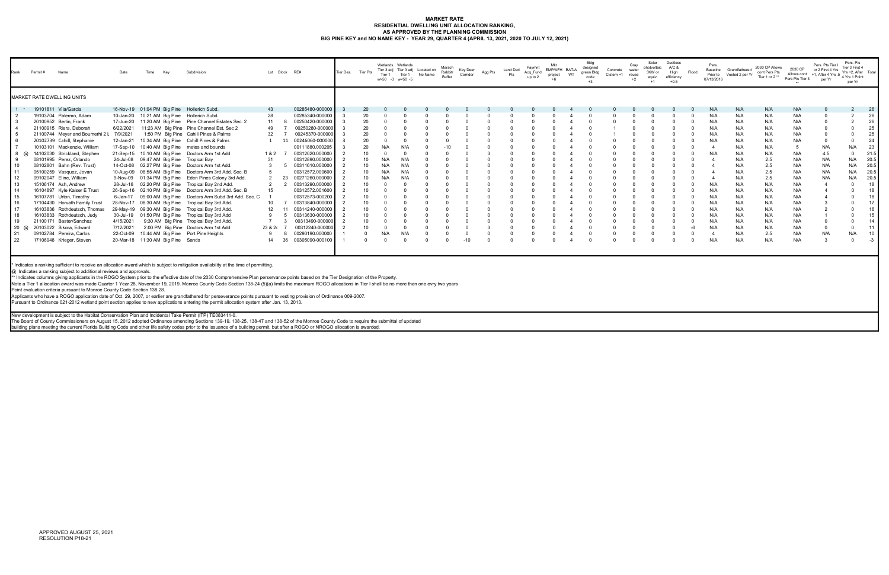#### **MARKET RATE RESIDENTIAL DWELLING UNIT ALLOCATION RANKING, AS APPROVED BY THE PLANNING COMMISSION BIG PINE KEY and NO NAME KEY - YEAR 29, QUARTER 4 (APRIL 13, 2021, 2020 TO JULY 12, 2021)**

| Rank | Permit # | Name                              | Date      | Time | Kev                               | Subdivision                                             |                 | Lot Block RE#         | Tier Des. | Tier Pts | Tier 1 | Wetlands Wetlands<br>Tier 3 adj Tier 3 adj Located on<br>Tier 1<br>w>50 -3 w<50 -5 | No Name | Marsch<br>Rabbit/<br>Buffer | Key Deer<br>Corridor | Agg Pts  | Land Ded<br>Pts | Paymnt<br>Acq_Fund<br>up to 2 | Mkt<br>EMP/AFH BAT/A<br>project | <b>WT</b> | Bldg<br>designed<br>green Bldg<br>code<br>$+3$ | Concrete<br>Cistern +1 | Gray<br>water<br>reuse<br>$+2$ | Solar<br>photvoltaic<br>3KW or<br>equiv.<br>$+1$ | Ductless<br>A/C &<br>High<br>efficiency<br>$+0.5$ | Flood | Pers.<br>Baseline<br>Prior to<br>07/13/2016 | Grandfathered<br>Vested 2 per Yr | 2030 CP Allows<br>cont Pers Pts<br>Tier 1 or 2** | 2030 CP<br>Pers Pts Tier 3 | Pers. Pts Tier I<br>or 2 First 4 Yrs<br>Allows cont +1, After 4 Yrs $\frac{1}{2}$ + Yrs 1 Point<br>ner Yr | Pers. Pts<br>Tier 3 First 4<br>Yrs +2. After Total<br>per Yr |      |
|------|----------|-----------------------------------|-----------|------|-----------------------------------|---------------------------------------------------------|-----------------|-----------------------|-----------|----------|--------|------------------------------------------------------------------------------------|---------|-----------------------------|----------------------|----------|-----------------|-------------------------------|---------------------------------|-----------|------------------------------------------------|------------------------|--------------------------------|--------------------------------------------------|---------------------------------------------------|-------|---------------------------------------------|----------------------------------|--------------------------------------------------|----------------------------|-----------------------------------------------------------------------------------------------------------|--------------------------------------------------------------|------|
|      |          | <b>MARKET RATE DWELLING UNITS</b> |           |      |                                   |                                                         |                 |                       |           |          |        |                                                                                    |         |                             |                      |          |                 |                               |                                 |           |                                                |                        |                                |                                                  |                                                   |       |                                             |                                  |                                                  |                            |                                                                                                           |                                                              |      |
|      |          | 1 * 19101811 Vila/Garcia          |           |      |                                   | 16-Nov-19 01:04 PM Big Pine Hollerich Subd.             | 43              | 00285480-000000       |           | 20       |        |                                                                                    |         |                             |                      |          |                 |                               |                                 |           |                                                |                        |                                |                                                  |                                                   |       | N/A                                         | N/A                              | N/A                                              | N/A                        |                                                                                                           |                                                              | 26   |
|      |          | 19103704 Palermo, Adam            | 10-Jan-20 |      |                                   | 10:21 AM Big Pine Hollerich Subd.                       | 28              | 00285340-000000       |           | 20       |        |                                                                                    |         |                             |                      |          |                 |                               |                                 |           |                                                |                        |                                |                                                  |                                                   |       | N/A                                         | N/A                              | N/A                                              | N/A                        |                                                                                                           |                                                              |      |
|      |          | 20100952 Berlin, Frank            | 17-Jun-20 |      |                                   | 11:20 AM Big Pine Pine Channel Estates Sec. 2           | 11              | 00250420-000000       |           | 20       |        |                                                                                    |         |                             |                      |          |                 |                               |                                 |           |                                                |                        |                                |                                                  |                                                   |       | N/A                                         | N/A                              | N/A                                              | N/A                        |                                                                                                           |                                                              | 26   |
|      |          | 21100915 Riera, Deborah           | 6/22/2021 |      |                                   | 11:23 AM Big Pine Pine Channel Est. Sec 2               | 49              | 00250280-00000        |           | 20       |        |                                                                                    |         |                             |                      |          |                 |                               |                                 |           |                                                |                        |                                |                                                  |                                                   |       | N/A                                         | N/A                              | N/A                                              | N/A                        |                                                                                                           |                                                              |      |
|      |          | 21100744 Meyer and Boumerhi 2 I   | 7/9/2021  |      |                                   | 1:50 PM Big Pine Cahill Pines & Palms                   | 32              | 00245370-000000       |           | 20       |        |                                                                                    |         |                             |                      |          |                 |                               |                                 |           |                                                |                        |                                |                                                  |                                                   |       | N/A                                         | N/A                              | N/A                                              | N/A                        |                                                                                                           |                                                              |      |
|      |          | 20102739 Cahill, Stephanie        | 12-Jan-21 |      |                                   | 10:34 AM Big Pine Cahill Pines & Palms                  |                 | 00246060-000000<br>11 |           | 20       |        |                                                                                    |         |                             |                      |          |                 |                               |                                 |           |                                                |                        |                                |                                                  |                                                   |       | N/A                                         | N/A                              | N/A                                              | N/A                        |                                                                                                           |                                                              | 24   |
|      |          | 10103101 Mackenzie, William       |           |      |                                   | 17-Sep-10 10:40 AM Big Pine metes and bounds            |                 | 00111880.000205       |           | 20       |        | N/A                                                                                |         |                             |                      |          |                 |                               |                                 |           |                                                |                        |                                |                                                  |                                                   |       |                                             | N/A                              | N/A                                              |                            | N/A                                                                                                       | N/A                                                          | 23   |
|      |          | 14102030 Strickland, Stephen      |           |      |                                   | 21-Sep-15 10:10 AM Big Pine Doctors Arm 1st Add         | 1 & 2           | 00312020.00000        |           | 10       |        |                                                                                    |         |                             |                      |          |                 |                               |                                 |           |                                                |                        |                                |                                                  |                                                   |       | N/A                                         | N/A                              | N/A                                              | N/A                        | 4.5                                                                                                       |                                                              | 21.  |
|      |          | 08101995 Perez, Orlando           | 24-Jul-08 |      |                                   | 09:47 AM Big Pine Tropical Bay                          | 31              | 00312890.000000       |           | 10       |        |                                                                                    |         |                             |                      |          |                 |                               |                                 |           |                                                |                        |                                |                                                  |                                                   |       |                                             | N/A                              | 2.5                                              | N/A                        | N/A                                                                                                       | N/A                                                          | 20.5 |
|      |          | 08102801 Bahn (Rev. Trust)        | 14-Oct-08 |      |                                   | 02:27 PM Big Pine Doctors Arm 1st Add.                  | 3               | 00311610.00000        |           | 10       |        |                                                                                    |         |                             |                      |          |                 |                               |                                 |           |                                                |                        |                                |                                                  |                                                   |       |                                             | N/A                              | 2.5                                              | N/A                        | N/A                                                                                                       | N/A                                                          | 20.5 |
|      |          | 05100259 Vasquez, Jovan           |           |      |                                   | 10-Aug-09 08:55 AM Big Pine Doctors Arm 3rd Add. Sec. B | 5               | 00312572.000600       |           | 10       |        | N/A                                                                                |         |                             |                      |          |                 |                               |                                 |           |                                                |                        |                                |                                                  |                                                   |       |                                             | N/A                              | 2.5                                              | N/A                        | N/A                                                                                                       | N/A                                                          | 20.5 |
|      |          | 09102047 Eline, William           | 9-Nov-09  |      |                                   | 01:34 PM Big Pine Eden Pines Colony 3rd Add.            |                 | 23<br>00271260.000000 |           |          |        |                                                                                    |         |                             |                      |          |                 |                               |                                 |           |                                                |                        |                                |                                                  |                                                   |       |                                             | N/A                              | 2.5                                              | N/A                        | N/A                                                                                                       | N/A                                                          | 20.5 |
|      |          | 15106174 Ash, Andrew              |           |      |                                   | 28-Jul-16 02:20 PM Big Pine Tropical Bay 2nd Add.       |                 | 00313290.000000       |           | 10       |        |                                                                                    |         |                             |                      |          |                 |                               |                                 |           |                                                |                        |                                |                                                  |                                                   |       | N/A                                         | N/A                              | N/A                                              | N/A                        |                                                                                                           |                                                              |      |
|      |          | 16104897 Kyle Kaiser E Trust      |           |      |                                   | 26-Sep-16 02:10 PM Big Pine Doctors Arm 3rd Add, Sec. B | 15              | 00312572.001600       |           | 10       |        |                                                                                    |         |                             |                      |          |                 |                               |                                 |           |                                                |                        |                                |                                                  |                                                   |       | N/A                                         | N/A                              | N/A                                              | N/A                        |                                                                                                           |                                                              |      |
|      |          | 16107781 Urton, Timothy           | 6-Jan-17  |      |                                   | 09:00 AM Big Pine Doctors Arm Subd 3rd Add. Sec. C      |                 | 00312573-000200       |           | 10       |        |                                                                                    |         |                             |                      |          |                 |                               |                                 |           |                                                |                        |                                |                                                  |                                                   |       | N/A                                         | N/A                              | N/A                                              | N/A                        |                                                                                                           |                                                              |      |
|      |          | 17104430 Horvath Family Trust     |           |      |                                   | 28-Nov-17 08:30 AM Big Pine Tropical Bay 3rd Add        | 10 <sup>1</sup> | 00313840-00000        |           | 10       |        |                                                                                    |         |                             |                      |          |                 |                               |                                 |           |                                                |                        |                                |                                                  |                                                   |       | N/A                                         | N/A                              | N/A                                              | N/A                        |                                                                                                           |                                                              |      |
|      |          | 16103836 Rothdeutsch, Thomas      |           |      |                                   | 29-May-19 09:30 AM Big Pine Tropical Bay 3rd Add        | 12 <sup>7</sup> | 00314240-00000        |           | 10       |        |                                                                                    |         |                             |                      |          |                 |                               |                                 |           |                                                |                        |                                |                                                  |                                                   |       | N/A                                         | N/A                              | N/A                                              | N/A                        |                                                                                                           |                                                              |      |
|      |          | 16103833 Rothdeutsch, Judy        |           |      |                                   | 30-Jul-19 01:50 PM Big Pine Tropical Bay 3rd Add        | 9               | 00313630-000000       |           | 10       |        |                                                                                    |         |                             |                      |          |                 |                               |                                 |           |                                                |                        |                                |                                                  |                                                   |       | N/A                                         | N/A                              | N/A                                              | N/A                        |                                                                                                           |                                                              |      |
|      |          | 21100171 Baster/Sanchez           | 4/15/2021 |      |                                   | 9:30 AM Big Pine Tropical Bay 3rd Add.                  | $\overline{7}$  | 00313490-000000       |           | 10       |        |                                                                                    |         |                             |                      |          |                 |                               |                                 |           |                                                |                        |                                |                                                  |                                                   |       | N/A                                         | N/A                              | N/A                                              | N/A                        |                                                                                                           |                                                              |      |
| 20 @ |          | 20103022 Sikora, Edward           | 7/12/2021 |      |                                   | 2:00 PM Big Pine Doctors Arm 1st Add.                   | 23 & 24         | 00312240-00000        |           | 10       |        |                                                                                    |         |                             |                      |          |                 |                               |                                 |           |                                                |                        |                                |                                                  |                                                   |       | N/A                                         | N/A                              | N/A                                              | N/A                        |                                                                                                           |                                                              |      |
|      |          | 09102784 Pereira, Carlos          | 22-Oct-09 |      |                                   | 10:44 AM Bia Pine Port Pine Heights                     | 9               | 00290190.000000       |           |          | N/A    | N/A                                                                                |         |                             |                      |          |                 |                               |                                 |           |                                                |                        |                                |                                                  |                                                   |       |                                             | N/A                              | 2.5                                              | N/A                        | N/A                                                                                                       | N/A                                                          | 10   |
|      |          | 17106948 Krieger, Steven          |           |      | 20-Mar-18 11:30 AM Big Pine Sands |                                                         | 14              | 36<br>00305090-000100 |           |          |        |                                                                                    |         |                             | $-10$                | $\Omega$ | $\Omega$        |                               |                                 |           |                                                |                        |                                |                                                  |                                                   |       | N/A                                         | N/A                              | N/A                                              | N/A                        |                                                                                                           |                                                              | -3   |
|      |          |                                   |           |      |                                   |                                                         |                 |                       |           |          |        |                                                                                    |         |                             |                      |          |                 |                               |                                 |           |                                                |                        |                                |                                                  |                                                   |       |                                             |                                  |                                                  |                            |                                                                                                           |                                                              |      |
|      |          |                                   |           |      |                                   |                                                         |                 |                       |           |          |        |                                                                                    |         |                             |                      |          |                 |                               |                                 |           |                                                |                        |                                |                                                  |                                                   |       |                                             |                                  |                                                  |                            |                                                                                                           |                                                              |      |

\* Indicates a ranking sufficient to receive an allocation award which is subject to mitigation availability at the time of permitting.

@ Indicates a ranking subject to additional reviews and approvals.

\*\* Indicates columns giving applicants in the ROGO System prior to the effective date of the 2030 Comprehensive Plan perservance points based on the Tier Designation of the Property.

Note a Tier 1 allocation award was made Quarter 1 Year 28, November 19, 2019. Monroe County Code Section 138-24 (5)(a) limits the maximum ROGO allocations in Tier I shall be no more than one evry two years

Point evaluation criteria pursuant to Monroe County Code Section 138.28.

Applicants who have a ROGO application date of Oct. 29, 2007, or earlier are grandfathered for perseverance points pursuant to vesting provision of Ordinance 009-2007.

Pursuant to Ordinance 021-2012 wetland point section applies to new applications entering the permit allocation system after Jan. 13, 2013.

New development is subject to the Habitat Conservation Plan and Incidental Take Permit (ITP) TE083411-0.

The Board of County Commissioners on August 15, 2012 adopted Ordinance amending Sections 139-19, 138-25, 138-47 and 138-52 of the Monroe County Code to require the submittal of updated

building plans meeting the current Florida Building Code and other life safety codes prior to the issuance of a building permit, but after a ROGO or NROGO allocation is awarded.